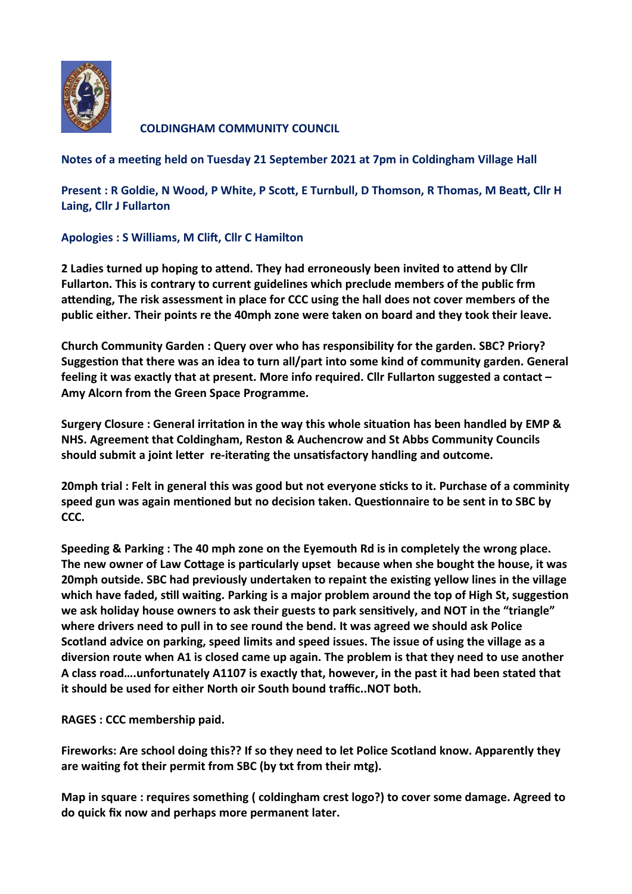

**COLDINGHAM COMMUNITY COUNCIL** 

**Notes of a meeting held on Tuesday 21 September 2021 at 7pm in Coldingham Village Hall**

**Present : R Goldie, N Wood, P White, P Scott, E Turnbull, D Thomson, R Thomas, M Beatt, Cllr H Laing, Cllr J Fullarton** 

**Apologies : S Williams, M Clift, Cllr C Hamilton**

**2 Ladies turned up hoping to attend. They had erroneously been invited to attend by Cllr Fullarton. This is contrary to current guidelines which preclude members of the public frm attending, The risk assessment in place for CCC using the hall does not cover members of the public either. Their points re the 40mph zone were taken on board and they took their leave.**

**Church Community Garden : Query over who has responsibility for the garden. SBC? Priory? Suggestion that there was an idea to turn all/part into some kind of community garden. General feeling it was exactly that at present. More info required. Cllr Fullarton suggested a contact – Amy Alcorn from the Green Space Programme.**

**Surgery Closure : General irritation in the way this whole situation has been handled by EMP & NHS. Agreement that Coldingham, Reston & Auchencrow and St Abbs Community Councils should submit a joint letter re-iterating the unsatisfactory handling and outcome.**

**20mph trial : Felt in general this was good but not everyone sticks to it. Purchase of a comminity speed gun was again mentioned but no decision taken. Questionnaire to be sent in to SBC by CCC.**

**Speeding & Parking : The 40 mph zone on the Eyemouth Rd is in completely the wrong place. The new owner of Law Cottage is particularly upset because when she bought the house, it was 20mph outside. SBC had previously undertaken to repaint the existing yellow lines in the village which have faded, still waiting. Parking is a major problem around the top of High St, suggestion we ask holiday house owners to ask their guests to park sensitively, and NOT in the "triangle" where drivers need to pull in to see round the bend. It was agreed we should ask Police Scotland advice on parking, speed limits and speed issues. The issue of using the village as a diversion route when A1 is closed came up again. The problem is that they need to use another A class road….unfortunately A1107 is exactly that, however, in the past it had been stated that it should be used for either North oir South bound traffic..NOT both.**

**RAGES : CCC membership paid.**

**Fireworks: Are school doing this?? If so they need to let Police Scotland know. Apparently they are waiting fot their permit from SBC (by txt from their mtg).**

**Map in square : requires something ( coldingham crest logo?) to cover some damage. Agreed to do quick fix now and perhaps more permanent later.**